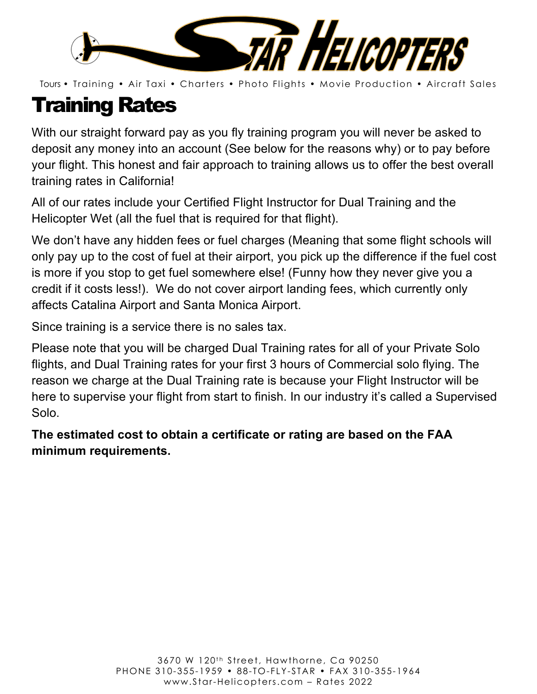

# Training Rates

With our straight forward pay as you fly training program you will never be asked to deposit any money into an account (See below for the reasons why) or to pay before your flight. This honest and fair approach to training allows us to offer the best overall training rates in California!

All of our rates include your Certified Flight Instructor for Dual Training and the Helicopter Wet (all the fuel that is required for that flight).

We don't have any hidden fees or fuel charges (Meaning that some flight schools will only pay up to the cost of fuel at their airport, you pick up the difference if the fuel cost is more if you stop to get fuel somewhere else! (Funny how they never give you a credit if it costs less!). We do not cover airport landing fees, which currently only affects Catalina Airport and Santa Monica Airport.

Since training is a service there is no sales tax.

Please note that you will be charged Dual Training rates for all of your Private Solo flights, and Dual Training rates for your first 3 hours of Commercial solo flying. The reason we charge at the Dual Training rate is because your Flight Instructor will be here to supervise your flight from start to finish. In our industry it's called a Supervised Solo.

**The estimated cost to obtain a certificate or rating are based on the FAA minimum requirements.**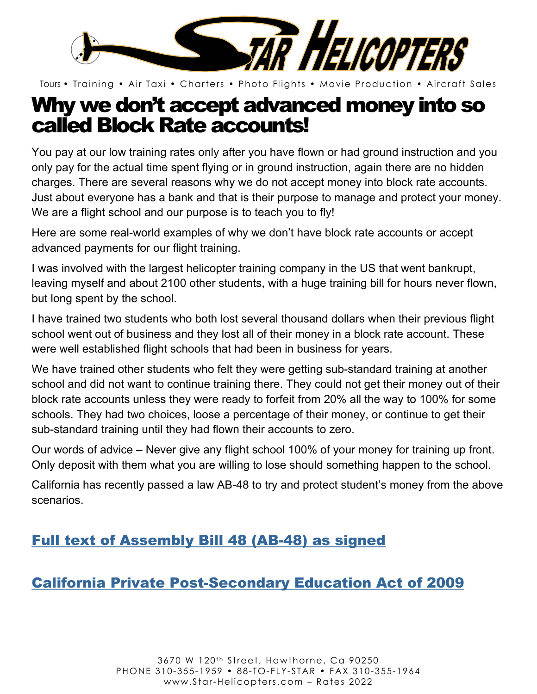

## Why we don't accept advanced money into so called Block Rate accounts!

You pay at our low training rates only after you have flown or had ground instruction and you only pay for the actual time spent flying or in ground instruction, again there are no hidden charges. There are several reasons why we do not accept money into block rate accounts. Just about everyone has a bank and that is their purpose to manage and protect your money. We are a flight school and our purpose is to teach you to fly!

Here are some real-world examples of why we don't have block rate accounts or accept advanced payments for our flight training.

I was involved with the largest helicopter training company in the US that went bankrupt, leaving myself and about 2100 other students, with a huge training bill for hours never flown, but long spent by the school.

I have trained two students who both lost several thousand dollars when their previous flight school went out of business and they lost all of their money in a block rate account. These were well established flight schools that had been in business for years.

We have trained other students who felt they were getting sub-standard training at another school and did not want to continue training there. They could not get their money out of their block rate accounts unless they were ready to forfeit from 20% all the way to 100% for some schools. They had two choices, loose a percentage of their money, or continue to get their sub-standard training until they had flown their accounts to zero.

Our words of advice – Never give any flight school 100% of your money for training up front. Only deposit with them what you are willing to lose should something happen to the school.

California has recently passed a law AB-48 to try and protect student's money from the above scenarios.

### Full text of Assembly Bill 48 (AB-48) as signed

### California Private Post-Secondary Education Act of 2009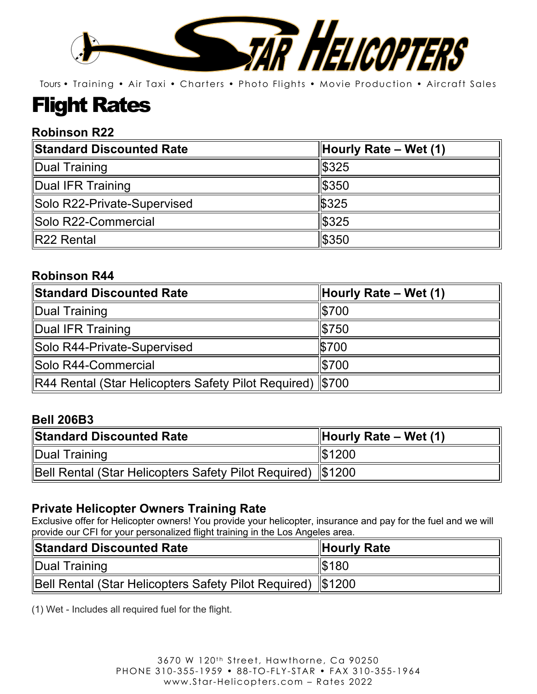

# Flight Rates

#### **Robinson R22**

| Standard Discounted Rate    | $\parallel$ Hourly Rate – Wet (1) |
|-----------------------------|-----------------------------------|
| Dual Training               | $\frac{1}{3}325$                  |
| Dual IFR Training           | 1\$350                            |
| Solo R22-Private-Supervised | \$325                             |
| Solo R22-Commercial         | <b>S</b> 325                      |
| R22 Rental                  | $ $ \$350                         |

#### **Robinson R44**

| Standard Discounted Rate                                    | Hourly Rate – Wet $(1)$ |
|-------------------------------------------------------------|-------------------------|
| Dual Training                                               | $\frac{1}{2}$ 5700      |
| Dual IFR Training                                           | $\frac{1}{2}$ 50        |
| Solo R44-Private-Supervised                                 | \$700                   |
| Solo R44-Commercial                                         | $\frac{1}{2}$ 5700      |
| R44 Rental (Star Helicopters Safety Pilot Required)   \$700 |                         |

#### **Bell 206B3**

| <b>Standard Discounted Rate</b>                               | $\parallel$ Hourly Rate – Wet (1) |
|---------------------------------------------------------------|-----------------------------------|
| Dual Training                                                 | $\frac{1}{3}1200$                 |
| Bell Rental (Star Helicopters Safety Pilot Required)   \$1200 |                                   |

#### **Private Helicopter Owners Training Rate**

Exclusive offer for Helicopter owners! You provide your helicopter, insurance and pay for the fuel and we will provide our CFI for your personalized flight training in the Los Angeles area.

| <b>Standard Discounted Rate</b>                               | Hourly Rate      |
|---------------------------------------------------------------|------------------|
| Dual Training                                                 | $\frac{1}{3}180$ |
| Bell Rental (Star Helicopters Safety Pilot Required)   \$1200 |                  |

(1) Wet - Includes all required fuel for the flight.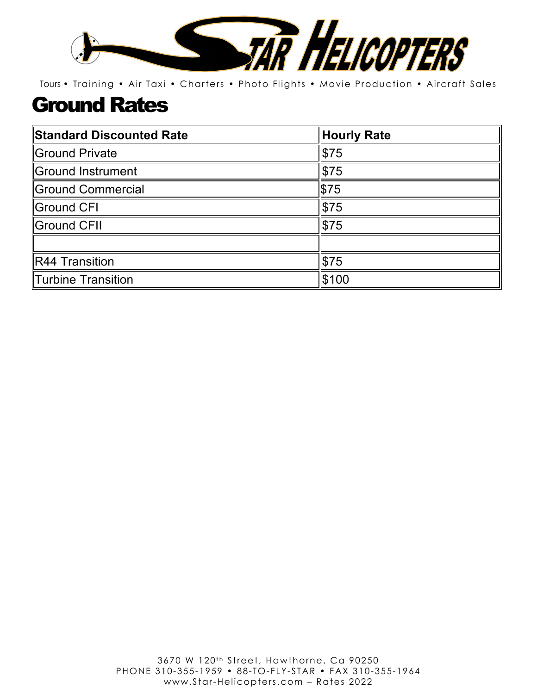

# Ground Rates

| <b>Standard Discounted Rate</b> | Hourly Rate  |
|---------------------------------|--------------|
| Ground Private                  | \$75         |
| Ground Instrument               | \$75         |
| Ground Commercial               | \$75         |
| Ground CFI                      | \$75         |
| Ground CFII                     | $\sqrt{575}$ |
|                                 |              |
| $\ $ R44 Transition             | \$75         |
| Turbine Transition              | \$100        |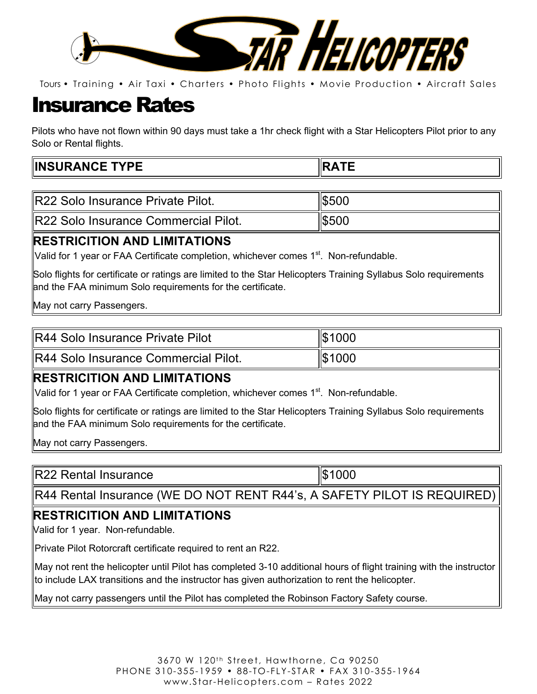

## Insurance Rates

Pilots who have not flown within 90 days must take a 1hr check flight with a Star Helicopters Pilot prior to any Solo or Rental flights.

| <b>IR22 Solo Insurance Private Pilot.</b>    | II\$500 |
|----------------------------------------------|---------|
| <b>IR22 Solo Insurance Commercial Pilot.</b> | IS500   |

#### **RESTRICITION AND LIMITATIONS**

Valid for 1 year or FAA Certificate completion, whichever comes 1<sup>st</sup>. Non-refundable.

Solo flights for certificate or ratings are limited to the Star Helicopters Training Syllabus Solo requirements and the FAA minimum Solo requirements for the certificate.

May not carry Passengers.

| R44 Solo Insurance Private Pilot | $\frac{1}{3}1000$ |
|----------------------------------|-------------------|
|                                  |                   |

R44 Solo Insurance Commercial Pilot. **\$1000** 

#### **RESTRICITION AND LIMITATIONS**

Valid for 1 year or FAA Certificate completion, whichever comes  $1<sup>st</sup>$ . Non-refundable.

Solo flights for certificate or ratings are limited to the Star Helicopters Training Syllabus Solo requirements and the FAA minimum Solo requirements for the certificate.

May not carry Passengers.

R22 Rental Insurance  $\parallel$ \$1000

R44 Rental Insurance (WE DO NOT RENT R44's, A SAFETY PILOT IS REQUIRED)

#### **RESTRICITION AND LIMITATIONS**

Valid for 1 year. Non-refundable.

Private Pilot Rotorcraft certificate required to rent an R22.

May not rent the helicopter until Pilot has completed 3-10 additional hours of flight training with the instructor to include LAX transitions and the instructor has given authorization to rent the helicopter.

May not carry passengers until the Pilot has completed the Robinson Factory Safety course.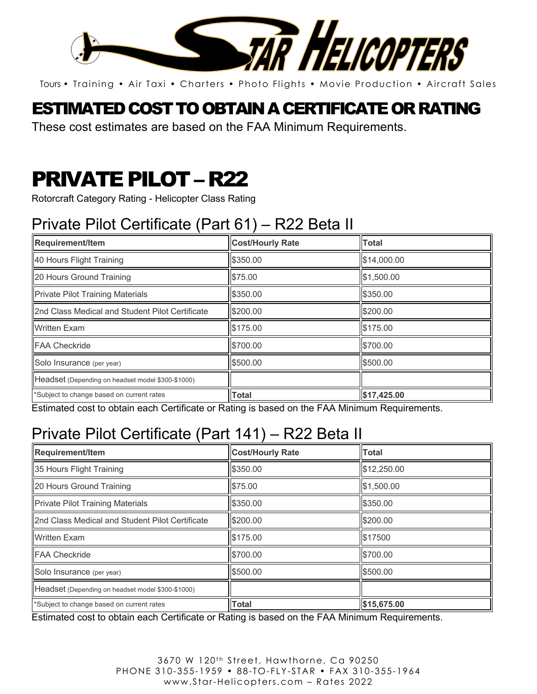

### ESTIMATED COST TO OBTAIN A CERTIFICATE OR RATING

These cost estimates are based on the FAA Minimum Requirements.

# PRIVATE PILOT – R22

Rotorcraft Category Rating - Helicopter Class Rating

# Private Pilot Certificate (Part 61) – R22 Beta II

| Requirement/Item                                  | <b>Cost/Hourly Rate</b> | <b>Total</b> |
|---------------------------------------------------|-------------------------|--------------|
| 40 Hours Flight Training                          | \$350.00                | \$14,000.00  |
| 20 Hours Ground Training                          | \$75.00                 | \$1,500.00   |
| <b>Private Pilot Training Materials</b>           | \$350.00                | \$350.00     |
| 2nd Class Medical and Student Pilot Certificate   | \$200.00                | \$200.00     |
| <b>Written Exam</b>                               | \$175.00                | \$175.00     |
| <b>FAA Checkride</b>                              | \$700.00                | \$700.00     |
| Solo Insurance (per year)                         | \$500.00                | \$500.00     |
| Headset (Depending on headset model \$300-\$1000) |                         |              |
| *Subject to change based on current rates         | <b>Total</b>            | \$17,425.00  |

Estimated cost to obtain each Certificate or Rating is based on the FAA Minimum Requirements.

## Private Pilot Certificate (Part 141) – R22 Beta II

| <b>Requirement/Item</b>                           | <b>Cost/Hourly Rate</b> | <b>Total</b> |
|---------------------------------------------------|-------------------------|--------------|
| 35 Hours Flight Training                          | \$350.00                | \$12,250.00  |
| 20 Hours Ground Training                          | \$75.00                 | \$1,500.00   |
| <b>Private Pilot Training Materials</b>           | \$350.00                | \$350.00     |
| 2nd Class Medical and Student Pilot Certificate   | \$200.00                | \$200.00     |
| <b>Written Exam</b>                               | \$175.00                | \$17500      |
| <b>FAA Checkride</b>                              | \$700.00                | \$700.00     |
| Solo Insurance (per year)                         | \$500.00                | \$500.00     |
| Headset (Depending on headset model \$300-\$1000) |                         |              |
| *Subject to change based on current rates         | <b>Total</b>            | \$15,675.00  |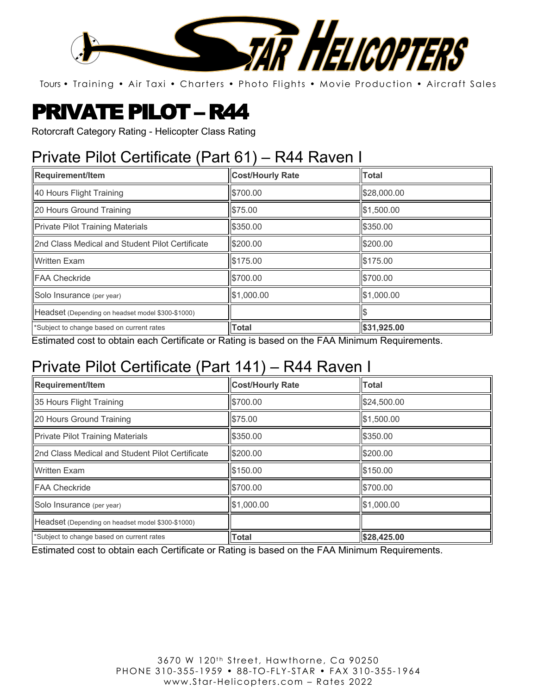

# PRIVATE PILOT – R44

Rotorcraft Category Rating - Helicopter Class Rating

### Private Pilot Certificate (Part 61) – R44 Raven I

| <b>Requirement/Item</b>                           | <b>Cost/Hourly Rate</b> | <b>Total</b> |
|---------------------------------------------------|-------------------------|--------------|
| 40 Hours Flight Training                          | \$700.00                | \$28,000.00  |
| 20 Hours Ground Training                          | \$75.00                 | \$1,500.00   |
| <b>Private Pilot Training Materials</b>           | \$350.00                | \$350.00     |
| 2nd Class Medical and Student Pilot Certificate   | \$200.00                | \$200.00     |
| <b>Written Exam</b>                               | \$175.00                | \$175.00     |
| <b>FAA Checkride</b>                              | \$700.00                | \$700.00     |
| Solo Insurance (per year)                         | \$1,000.00              | \$1,000.00   |
| Headset (Depending on headset model \$300-\$1000) |                         |              |
| *Subject to change based on current rates         | <b>Total</b>            | \$31,925.00  |

Estimated cost to obtain each Certificate or Rating is based on the FAA Minimum Requirements.

### Private Pilot Certificate (Part 141) – R44 Raven I

| <b>Requirement/Item</b>                           | <b>Cost/Hourly Rate</b> | <b>Total</b> |
|---------------------------------------------------|-------------------------|--------------|
| 35 Hours Flight Training                          | \$700.00                | \$24,500.00  |
| 20 Hours Ground Training                          | \$75.00                 | \$1,500.00   |
| <b>Private Pilot Training Materials</b>           | \$350.00                | \$350.00     |
| 2nd Class Medical and Student Pilot Certificate   | \$200.00                | \$200.00     |
| <b>Written Exam</b>                               | \$150.00                | \$150.00     |
| <b>IFAA Checkride</b>                             | \$700.00                | \$700.00     |
| Solo Insurance (per year)                         | \$1,000.00              | \$1,000.00   |
| Headset (Depending on headset model \$300-\$1000) |                         |              |
| *Subject to change based on current rates         | <b>Total</b>            | \$28,425.00  |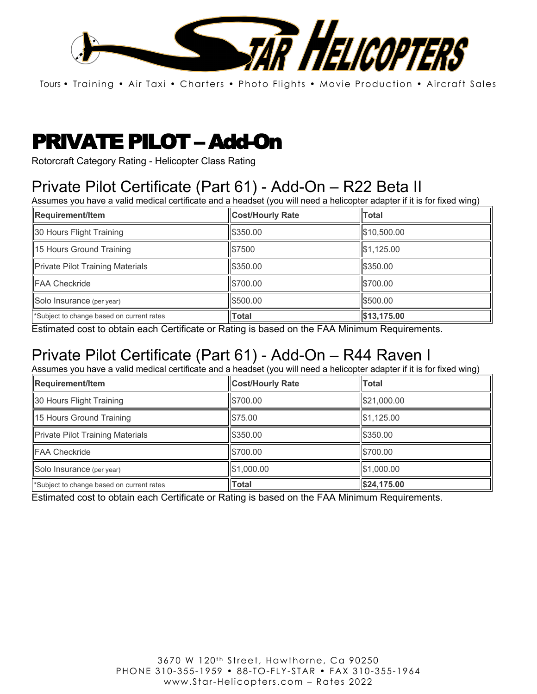

# PRIVATE PILOT – Add-On

Rotorcraft Category Rating - Helicopter Class Rating

## Private Pilot Certificate (Part 61) - Add-On – R22 Beta II

Assumes you have a valid medical certificate and a headset (you will need a helicopter adapter if it is for fixed wing)

| Requirement/Item                          | <b>Cost/Hourly Rate</b> | <b>Total</b> |
|-------------------------------------------|-------------------------|--------------|
| 30 Hours Flight Training                  | \$350.00                | \$10,500.00  |
| 15 Hours Ground Training                  | \$7500                  | \$1,125.00   |
| <b>Private Pilot Training Materials</b>   | \$350.00                | \$350.00     |
| <b>FAA Checkride</b>                      | \$700.00                | \$700.00     |
| Solo Insurance (per year)                 | \$500.00                | \$500.00     |
| *Subject to change based on current rates | Total                   | \$13,175.00  |

Estimated cost to obtain each Certificate or Rating is based on the FAA Minimum Requirements.

### Private Pilot Certificate (Part 61) - Add-On – R44 Raven I

Assumes you have a valid medical certificate and a headset (you will need a helicopter adapter if it is for fixed wing)

| Requirement/Item                          | <b>Cost/Hourly Rate</b> | <b>Total</b> |
|-------------------------------------------|-------------------------|--------------|
| 30 Hours Flight Training                  | \$700.00                | \$21,000.00  |
| 15 Hours Ground Training                  | \$75.00                 | \$1,125.00   |
| <b>Private Pilot Training Materials</b>   | \$350.00                | \$350.00     |
| <b>FAA Checkride</b>                      | \$700.00                | \$700.00     |
| Solo Insurance (per year)                 | \$1,000.00              | \$1,000.00   |
| *Subject to change based on current rates | <b>Total</b>            | \$24,175.00  |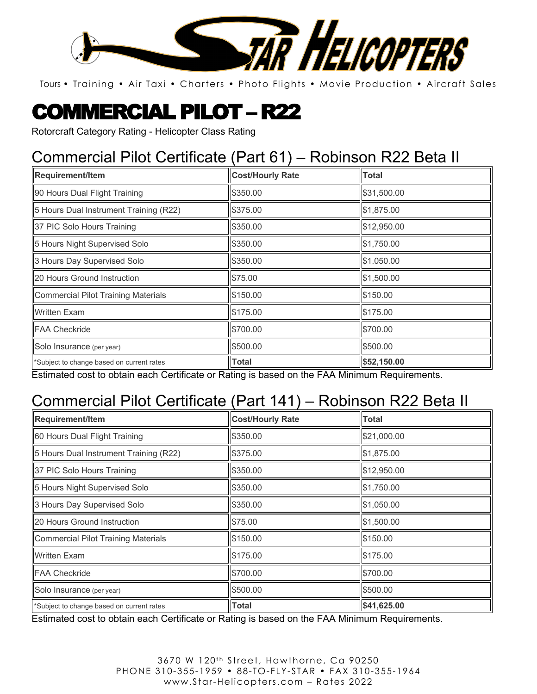

# COMMERCIAL PILOT – R22

Rotorcraft Category Rating - Helicopter Class Rating

### Commercial Pilot Certificate (Part 61) – Robinson R22 Beta II

| <b>Requirement/Item</b>                    | <b>Cost/Hourly Rate</b> | Total       |
|--------------------------------------------|-------------------------|-------------|
| 90 Hours Dual Flight Training              | \$350.00                | \$31,500.00 |
| 5 Hours Dual Instrument Training (R22)     | \$375.00                | \$1,875.00  |
| 37 PIC Solo Hours Training                 | \$350.00                | \$12,950.00 |
| 5 Hours Night Supervised Solo              | \$350.00                | \$1,750.00  |
| 3 Hours Day Supervised Solo                | \$350.00                | \$1.050.00  |
| 20 Hours Ground Instruction                | \$75.00                 | \$1,500.00  |
| <b>Commercial Pilot Training Materials</b> | \$150.00                | \$150.00    |
| <b>Written Exam</b>                        | \$175.00                | \$175.00    |
| <b>FAA Checkride</b>                       | \$700.00                | \$700.00    |
| Solo Insurance (per year)                  | \$500.00                | \$500.00    |
| *Subject to change based on current rates  | <b>Total</b>            | \$52,150.00 |

Estimated cost to obtain each Certificate or Rating is based on the FAA Minimum Requirements.

### Commercial Pilot Certificate (Part 141) – Robinson R22 Beta II

| Requirement/Item                           | <b>Cost/Hourly Rate</b> | <b>Total</b> |
|--------------------------------------------|-------------------------|--------------|
| 60 Hours Dual Flight Training              | \$350.00                | \$21,000.00  |
| 5 Hours Dual Instrument Training (R22)     | \$375.00                | \$1,875.00   |
| 37 PIC Solo Hours Training                 | \$350.00                | \$12,950.00  |
| 5 Hours Night Supervised Solo              | \$350.00                | \$1,750.00   |
| 3 Hours Day Supervised Solo                | \$350.00                | \$1,050.00   |
| 20 Hours Ground Instruction                | \$75.00                 | \$1,500.00   |
| <b>Commercial Pilot Training Materials</b> | \$150.00                | \$150.00     |
| <b>Written Exam</b>                        | \$175.00                | \$175.00     |
| <b>FAA Checkride</b>                       | \$700.00                | \$700.00     |
| Solo Insurance (per year)                  | \$500.00                | \$500.00     |
| *Subject to change based on current rates  | <b>Total</b>            | \$41,625.00  |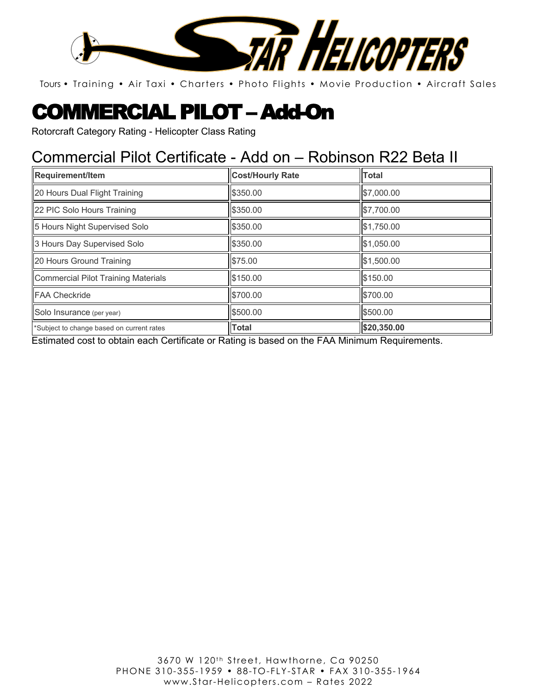

# COMMERCIAL PILOT – Add-On

Rotorcraft Category Rating - Helicopter Class Rating

#### Commercial Pilot Certificate - Add on – Robinson R22 Beta II

| Requirement/Item                          | <b>Cost/Hourly Rate</b> | <b>Total</b> |
|-------------------------------------------|-------------------------|--------------|
| 20 Hours Dual Flight Training             | \$350.00                | \$7,000.00   |
| 22 PIC Solo Hours Training                | \$350.00                | \$7,700.00   |
| 5 Hours Night Supervised Solo             | \$350.00                | \$1,750.00   |
| 3 Hours Day Supervised Solo               | \$350.00                | \$1,050.00   |
| 20 Hours Ground Training                  | \$75.00                 | \$1,500.00   |
| Commercial Pilot Training Materials       | \$150.00                | \$150.00     |
| FAA Checkride                             | \$700.00                | \$700.00     |
| Solo Insurance (per year)                 | \$500.00                | \$500.00     |
| *Subject to change based on current rates | <b>Total</b>            | \$20,350.00  |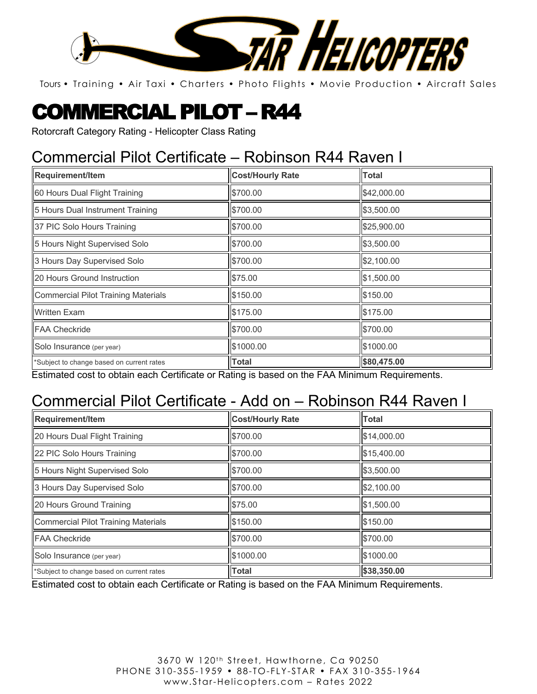

# COMMERCIAL PILOT – R44

Rotorcraft Category Rating - Helicopter Class Rating

### Commercial Pilot Certificate – Robinson R44 Raven I

| Requirement/Item                          | <b>Cost/Hourly Rate</b> | Total       |
|-------------------------------------------|-------------------------|-------------|
| 60 Hours Dual Flight Training             | \$700.00                | \$42,000.00 |
| 5 Hours Dual Instrument Training          | \$700.00                | \$3,500.00  |
| 37 PIC Solo Hours Training                | \$700.00                | \$25,900.00 |
| 5 Hours Night Supervised Solo             | \$700.00                | \$3,500.00  |
| 3 Hours Day Supervised Solo               | \$700.00                | \$2,100.00  |
| 20 Hours Ground Instruction               | \$75.00                 | \$1,500.00  |
| Commercial Pilot Training Materials       | \$150.00                | \$150.00    |
| <b>Written Exam</b>                       | \$175.00                | \$175.00    |
| <b>IFAA Checkride</b>                     | \$700.00                | \$700.00    |
| Solo Insurance (per year)                 | \$1000.00               | \$1000.00   |
| *Subject to change based on current rates | Total                   | \$80,475.00 |

Estimated cost to obtain each Certificate or Rating is based on the FAA Minimum Requirements.

### Commercial Pilot Certificate - Add on – Robinson R44 Raven I

| Requirement/Item                           | <b>Cost/Hourly Rate</b> | <b>Total</b> |
|--------------------------------------------|-------------------------|--------------|
| 20 Hours Dual Flight Training              | \$700.00                | \$14,000.00  |
| 22 PIC Solo Hours Training                 | \$700.00                | \$15,400.00  |
| 5 Hours Night Supervised Solo              | \$700.00                | \$3,500.00   |
| 3 Hours Day Supervised Solo                | \$700.00                | \$2,100.00   |
| 20 Hours Ground Training                   | \$75.00                 | \$1,500.00   |
| <b>Commercial Pilot Training Materials</b> | \$150.00                | \$150.00     |
| <b>FAA Checkride</b>                       | \$700.00                | \$700.00     |
| Solo Insurance (per year)                  | \$1000.00               | \$1000.00    |
| *Subject to change based on current rates  | <b>Total</b>            | \$38,350.00  |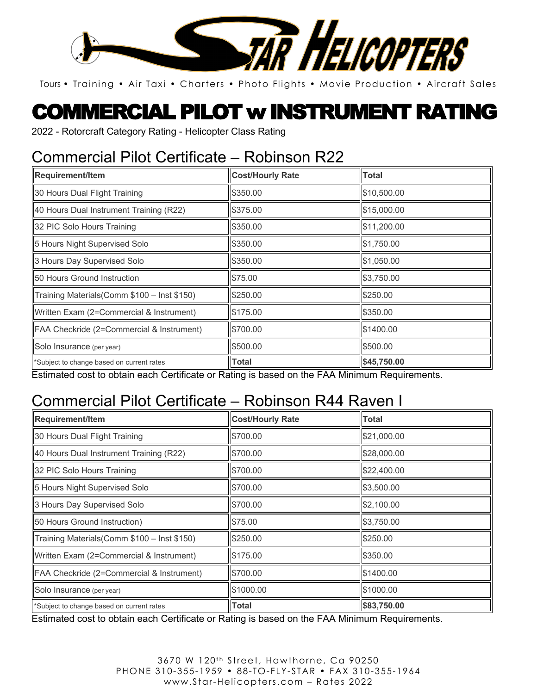

## COMMERCIAL PILOT w INSTRUMENT RATING

2022 - Rotorcraft Category Rating - Helicopter Class Rating

### Commercial Pilot Certificate – Robinson R22

| Requirement/Item                             | <b>Cost/Hourly Rate</b> | <b>Total</b> |
|----------------------------------------------|-------------------------|--------------|
| 30 Hours Dual Flight Training                | \$350.00                | \$10,500.00  |
| 40 Hours Dual Instrument Training (R22)      | \$375.00                | \$15,000.00  |
| 32 PIC Solo Hours Training                   | \$350.00                | \$11,200.00  |
| 5 Hours Night Supervised Solo                | \$350.00                | \$1,750.00   |
| 3 Hours Day Supervised Solo                  | \$350.00                | \$1,050.00   |
| <b>150 Hours Ground Instruction</b>          | \$75.00                 | \$3,750.00   |
| Training Materials (Comm \$100 - Inst \$150) | \$250.00                | \$250.00     |
| Written Exam (2=Commercial & Instrument)     | \$175.00                | \$350.00     |
| FAA Checkride (2=Commercial & Instrument)    | \$700.00                | \$1400.00    |
| Solo Insurance (per year)                    | \$500.00                | \$500.00     |
| *Subject to change based on current rates    | <b>Total</b>            | \$45,750.00  |

Estimated cost to obtain each Certificate or Rating is based on the FAA Minimum Requirements.

### Commercial Pilot Certificate – Robinson R44 Raven I

| Requirement/Item                             | <b>Cost/Hourly Rate</b> | <b>Total</b> |
|----------------------------------------------|-------------------------|--------------|
| 30 Hours Dual Flight Training                | \$700.00                | \$21,000.00  |
| 40 Hours Dual Instrument Training (R22)      | \$700.00                | \$28,000.00  |
| 32 PIC Solo Hours Training                   | \$700.00                | \$22,400.00  |
| 5 Hours Night Supervised Solo                | \$700.00                | \$3,500.00   |
| 3 Hours Day Supervised Solo                  | \$700.00                | \$2,100.00   |
| 50 Hours Ground Instruction)                 | \$75.00                 | \$3,750.00   |
| Training Materials (Comm \$100 - Inst \$150) | \$250.00                | \$250.00     |
| Written Exam (2=Commercial & Instrument)     | \$175.00                | \$350.00     |
| FAA Checkride (2=Commercial & Instrument)    | \$700.00                | \$1400.00    |
| Solo Insurance (per year)                    | \$1000.00               | \$1000.00    |
| *Subject to change based on current rates    | <b>Total</b>            | \$83,750.00  |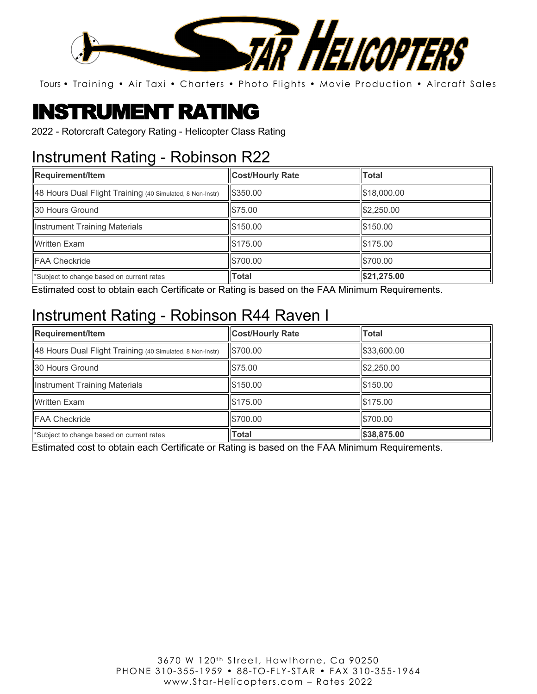

# INSTRUMENT RATING

2022 - Rotorcraft Category Rating - Helicopter Class Rating

### Instrument Rating - Robinson R22

| Requirement/Item                                          | <b>Cost/Hourly Rate</b> | Total       |
|-----------------------------------------------------------|-------------------------|-------------|
| 48 Hours Dual Flight Training (40 Simulated, 8 Non-Instr) | \$350.00                | \$18,000.00 |
| 130 Hours Ground                                          | \$75.00                 | \$2,250.00  |
| Instrument Training Materials                             | \$150.00                | \$150.00    |
| <b>Written Exam</b>                                       | \$175.00                | \$175.00    |
| <b>FAA Checkride</b>                                      | \$700.00                | \$700.00    |
| *Subject to change based on current rates                 | <b>Total</b>            | \$21,275.00 |

Estimated cost to obtain each Certificate or Rating is based on the FAA Minimum Requirements.

### Instrument Rating - Robinson R44 Raven I

| Requirement/Item                                          | <b>Cost/Hourly Rate</b> | <b>Total</b> |
|-----------------------------------------------------------|-------------------------|--------------|
| 48 Hours Dual Flight Training (40 Simulated, 8 Non-Instr) | \$700.00                | \$33,600.00  |
| <b>130 Hours Ground</b>                                   | \$75.00                 | \$2,250.00   |
| <b>Instrument Training Materials</b>                      | \$150.00                | \$150.00     |
| <b>Written Exam</b>                                       | \$175.00                | \$175.00     |
| <b>IFAA Checkride</b>                                     | \$700.00                | \$700.00     |
| *Subject to change based on current rates                 | <b>Total</b>            | \$38,875.00  |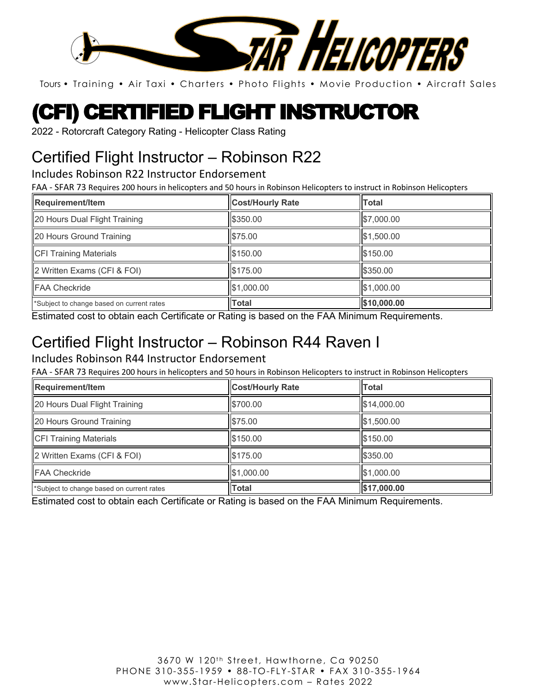

# (CFI) CERTIFIED FLIGHT INSTRUCTOR

2022 - Rotorcraft Category Rating - Helicopter Class Rating

### Certified Flight Instructor – Robinson R22

Includes Robinson R22 Instructor Endorsement

FAA - SFAR 73 Requires 200 hours in helicopters and 50 hours in Robinson Helicopters to instruct in Robinson Helicopters

| Requirement/Item                          | <b>Cost/Hourly Rate</b> | <b>Total</b> |
|-------------------------------------------|-------------------------|--------------|
| 20 Hours Dual Flight Training             | \$350.00                | \$7,000.00   |
| 20 Hours Ground Training                  | \$75.00                 | \$1,500.00   |
| <b>CFI Training Materials</b>             | \$150.00                | \$150.00     |
| $\vert$ 2 Written Exams (CFI & FOI)       | \$175.00                | \$350.00     |
| <b>FAA Checkride</b>                      | \$1,000.00              | \$1.000.00   |
| *Subject to change based on current rates | <b>Total</b>            | \$10,000.00  |

Estimated cost to obtain each Certificate or Rating is based on the FAA Minimum Requirements.

### Certified Flight Instructor – Robinson R44 Raven I

#### Includes Robinson R44 Instructor Endorsement

FAA - SFAR 73 Requires 200 hours in helicopters and 50 hours in Robinson Helicopters to instruct in Robinson Helicopters

| Requirement/Item                          | <b>Cost/Hourly Rate</b> | <b>Total</b>    |
|-------------------------------------------|-------------------------|-----------------|
| 20 Hours Dual Flight Training             | \$700.00                | \$14,000.00     |
| 20 Hours Ground Training                  | \$75.00                 | \$1,500.00      |
| <b>CFI Training Materials</b>             | \$150.00                | \$150.00        |
| 2 Written Exams (CFI & FOI)               | \$175.00                | <b>IS350.00</b> |
| <b>FAA Checkride</b>                      | \$1,000.00              | \$1,000.00      |
| *Subject to change based on current rates | Total                   | \$17,000.00     |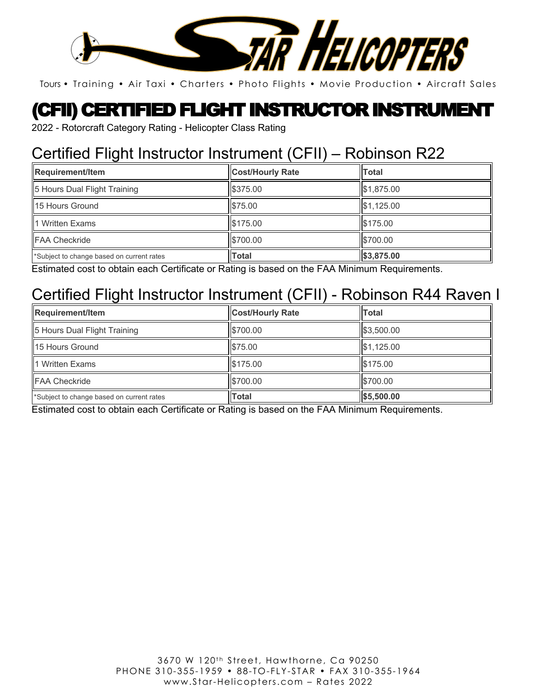

### (CFII) CERTIFIED FLIGHT INSTRUCTOR INSTRUMENT

2022 - Rotorcraft Category Rating - Helicopter Class Rating

### Certified Flight Instructor Instrument (CFII) – Robinson R22

| <b>Requirement/Item</b>                   | <b>Cost/Hourly Rate</b> | <b>Total</b> |
|-------------------------------------------|-------------------------|--------------|
| 5 Hours Dual Flight Training              | \$375.00                | \$1,875.00   |
| 15 Hours Ground                           | \$75.00                 | \$1,125.00   |
| 1 Written Exams                           | \$175.00                | \$175.00     |
| FAA Checkride                             | \$700.00                | \$700.00     |
| *Subject to change based on current rates | <b>Total</b>            | \$3,875.00   |

Estimated cost to obtain each Certificate or Rating is based on the FAA Minimum Requirements.

#### Certified Flight Instructor Instrument (CFII) - Robinson R44 Raven I

| Requirement/Item                          | <b>Cost/Hourly Rate</b> | Total      |
|-------------------------------------------|-------------------------|------------|
| 5 Hours Dual Flight Training              | \$700.00                | \$3,500.00 |
| <b>15 Hours Ground</b>                    | \$75.00                 | \$1,125.00 |
| 1 Written Exams                           | \$175.00                | \$175.00   |
| <b>FAA Checkride</b>                      | \$700.00                | \$700.00   |
| *Subject to change based on current rates | <b>Total</b>            | \$5,500.00 |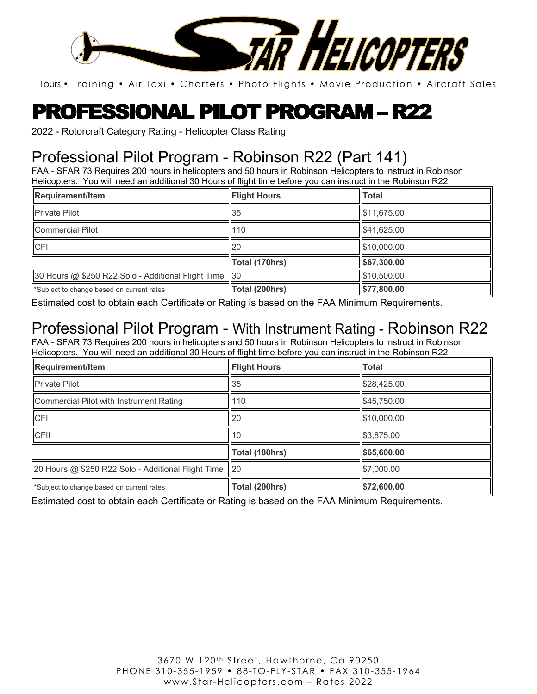

## PROFESSIONAL PILOT PROGRAM – R22

2022 - Rotorcraft Category Rating - Helicopter Class Rating

### Professional Pilot Program - Robinson R22 (Part 141)

FAA - SFAR 73 Requires 200 hours in helicopters and 50 hours in Robinson Helicopters to instruct in Robinson Helicopters. You will need an additional 30 Hours of flight time before you can instruct in the Robinson R22

| Requirement/Item                                       | <b>Flight Hours</b> | <b>Total</b> |
|--------------------------------------------------------|---------------------|--------------|
| <b>Private Pilot</b>                                   | 35                  | \$11,675.00  |
| Commercial Pilot                                       | 110                 | \$41,625.00  |
| <b>CFI</b>                                             | <b>20</b>           | \$10,000.00  |
|                                                        | Total (170hrs)      | \$67,300.00  |
| 30 Hours @ \$250 R22 Solo - Additional Flight Time  30 |                     | \$10,500.00  |
| *Subject to change based on current rates              | Total (200hrs)      | \$77,800.00  |

Estimated cost to obtain each Certificate or Rating is based on the FAA Minimum Requirements.

### Professional Pilot Program - With Instrument Rating - Robinson R22

FAA - SFAR 73 Requires 200 hours in helicopters and 50 hours in Robinson Helicopters to instruct in Robinson Helicopters. You will need an additional 30 Hours of flight time before you can instruct in the Robinson R22

| <b>Requirement/Item</b>                               | <b>Flight Hours</b> | <b>Total</b> |
|-------------------------------------------------------|---------------------|--------------|
| <b>Private Pilot</b>                                  | 35                  | \$28,425.00  |
| Commercial Pilot with Instrument Rating               | 110                 | \$45,750.00  |
| <b>CFI</b>                                            | <b>20</b>           | \$10,000.00  |
| <b>CFII</b>                                           | 110                 | \$3,875.00   |
|                                                       | Total (180hrs)      | \$65,600.00  |
| 20 Hours @ \$250 R22 Solo - Additional Flight Time 20 |                     | \$7,000.00   |
| *Subject to change based on current rates             | Total (200hrs)      | \$72,600.00  |